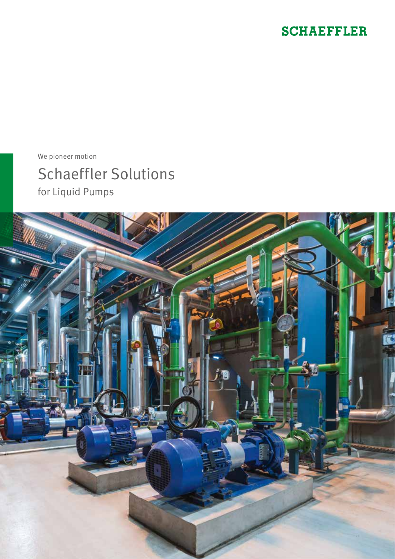## **SCHAEFFLER**

We pioneer motion

Schaeffler Solutions for Liquid Pumps

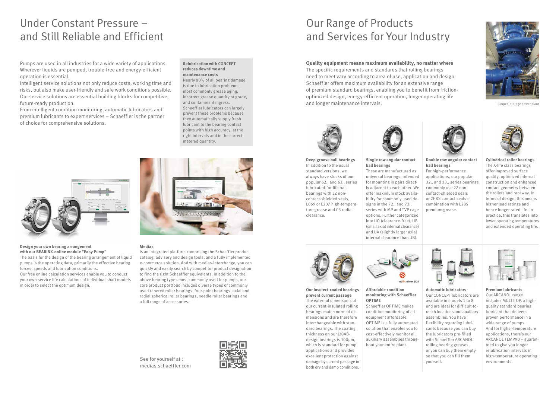# Under Constant Pressure – and Still Reliable and Efficient

Our Range of Products and Services for Your Industry

Pumps are used in all industries for a wide variety of applications. Wherever liquids are pumped, trouble-free and energy-efficient operation is essential.

Intelligent service solutions not only reduce costs, working time and risks, but also make user-friendly and safe work conditions possible. Our service solutions are essential building blocks for competitive, future-ready production.

From intelligent condition monitoring, automatic lubricators and premium lubricants to expert services – Schaeffler is the partner of choice for comprehensive solutions.

**Quality equipment means maximum availability, no matter where** The specific requirements and standards that rolling bearings need to meet vary according to area of use, application and design. Schaeffler offers maximum availability for an extensive range of premium standard bearings, enabling you to benefit from frictionoptimized design, energy-efficient operation, longer operating life and longer maintenance intervals.



#### **Design your own bearing arrangement with our BEARINX-online module "Easy Pump"**

The basis for the design of the bearing arrangement of liquid pumps is the operating data, primarily the effective bearing forces, speeds and lubrication conditions.

Our free online calculation services enable you to conduct your own service life calculations of individual shaft models in order to select the optimum design.



#### **Medias**

is an integrated platform comprising the Schaeffler product catalog, advisory and design tools, and a fully implemented e-commerce solution. And with medias-interchange, you can quickly and easily search by competitor product designation to find the right Schaeffler equivalents. In addition to the above bearing types most commonly used for pumps, our core product portfolio includes diverse types of commonly used tapered roller bearings, four-point bearings, axial and radial spherical roller bearings, needle roller bearings and a full range of accessories.

**Premium lubricants**  Our ARCANOL range includes MULTITOP, a highquality standard bearing lubricant that delivers proven performance in a wide range of pumps. And for higher-temperature applications, there's our ARCANOL TEMP90 – guaranteed to give you longer relubrication intervals in high-temperature operating environments.

#### **Relubrication with CONCEPT reduces downtime and maintenance costs**

Nearly 80% of all bearing damage is due to lubrication problems, most commonly grease aging, incorrect grease quantity or grade, and contaminant ingress. Schaeffler lubricators can largely prevent these problems because they automatically supply fresh lubricant to the bearing contact points with high accuracy, at the right intervals and in the correct metered quantity.



**Deep groove ball bearings** In addition to the usual standard versions, we always have stocks of our popular 62.. and 63.. series lubricated-for-life ball bearings with 2Z noncontact-shielded seals, L069 or L207 high-temperature grease and C3 radial clearance.



#### **Single row angular contact ball bearings**

These are manufactured as universal bearings, intended for mounting in pairs directly adjacent to each other. We offer maximum stock availability for commonly used designs in the 72.. and 73.. series with MP and TVP cage options. Further categorized into UO (clearance-free), UB (small axial internal clearance)

and UA (slightly larger axial internal clearance than UB).



#### **Affordable condition monitoring with Schaeffler OPTIME**

Schaeffler OPTIME makes condition monitoring of all equipment affordable. OPTIME is a fully automated solution that enables you to cost-effectively monitor all auxiliary assemblies throughout your entire plant.

**Double row angular contact ball bearings**

For high-performance applications, our popular 32.. and 33.. series bearings commonly use 2Z noncontact-shielded seals or 2HRS contact seals in combination with L285 premium grease.



**Cylindrical roller bearings** The X-life class bearings offer improved surface quality, optimized internal construction and enhanced contact geometry between the rollers and raceway. In terms of design, this means higher load ratings and hence longer rated life. In practice, this translates into lower operating temperatures and extended operating life.



**Our Insutect-coated bearings prevent current passage** The external dimensions of our current-insulated rolling bearings match normed dimensions and are therefore interchangeable with standard bearings. The coating thickness on our J20ABdesign bearings is 100µm, which is standard for pump applications and provides excellent protection against damage by current passage in both dry and damp conditions.



## See for yourself at : medias.schaeffler.com



Pumped-storage power plant



**Automatic lubricators** 

Our CONCEPT lubricators are available in models 1 to 8 and are ideal for difficult-toreach locations and auxiliary assemblies. You have flexibility regarding lubricants because you can buy the lubricators pre-filled with Schaeffler ARCANOL rolling bearing greases, or you can buy them empty so that you can fill them yourself.